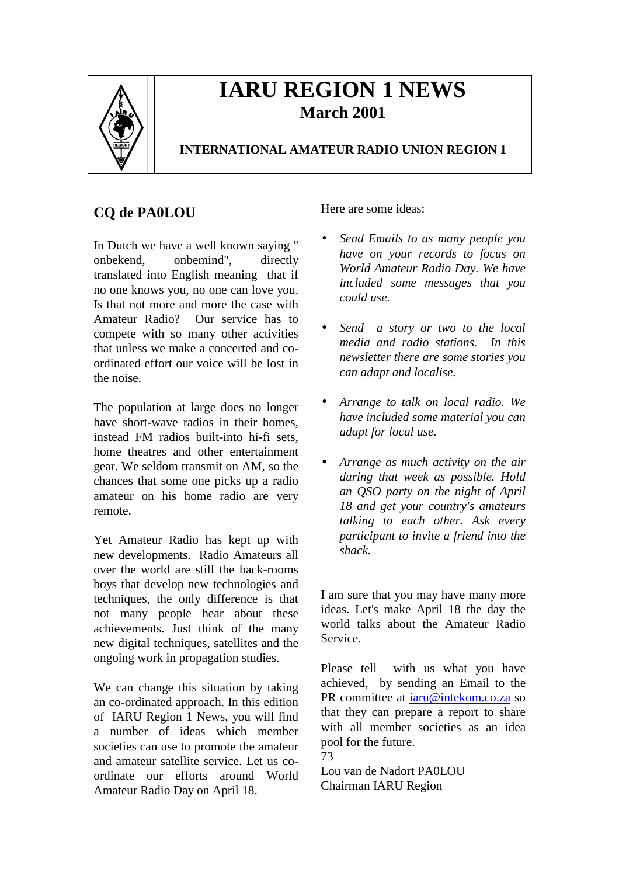

# **IARU REGION 1 NEWS March 2001**

# **INTERNATIONAL AMATEUR RADIO UNION REGION 1**

# **CQ de PA0LOU**

In Dutch we have a well known saying " onbekend, onbemind", directly translated into English meaning that if no one knows you, no one can love you. Is that not more and more the case with Amateur Radio? Our service has to compete with so many other activities that unless we make a concerted and coordinated effort our voice will be lost in the noise.

The population at large does no longer have short-wave radios in their homes, instead FM radios built-into hi-fi sets, home theatres and other entertainment gear. We seldom transmit on AM, so the chances that some one picks up a radio amateur on his home radio are very remote.

Yet Amateur Radio has kept up with new developments. Radio Amateurs all over the world are still the back-rooms boys that develop new technologies and techniques, the only difference is that not many people hear about these achievements. Just think of the many new digital techniques, satellites and the ongoing work in propagation studies.

We can change this situation by taking an co-ordinated approach. In this edition of IARU Region 1 News, you will find a number of ideas which member societies can use to promote the amateur and amateur satellite service. Let us coordinate our efforts around World Amateur Radio Day on April 18.

Here are some ideas:

- *Send Emails to as many people you have on your records to focus on World Amateur Radio Day. We have included some messages that you could use.*
- *Send a story or two to the local media and radio stations. In this newsletter there are some stories you can adapt and localise.*
- *Arrange to talk on local radio. We have included some material you can adapt for local use.*
- *Arrange as much activity on the air during that week as possible. Hold an QSO party on the night of April 18 and get your country's amateurs talking to each other. Ask every participant to invite a friend into the shack.*

I am sure that you may have many more ideas. Let's make April 18 the day the world talks about the Amateur Radio Service.

Please tell with us what you have achieved, by sending an Email to the PR committee at iaru@intekom.co.za so that they can prepare a report to share with all member societies as an idea pool for the future. 73

Lou van de Nadort PA0LOU Chairman IARU Region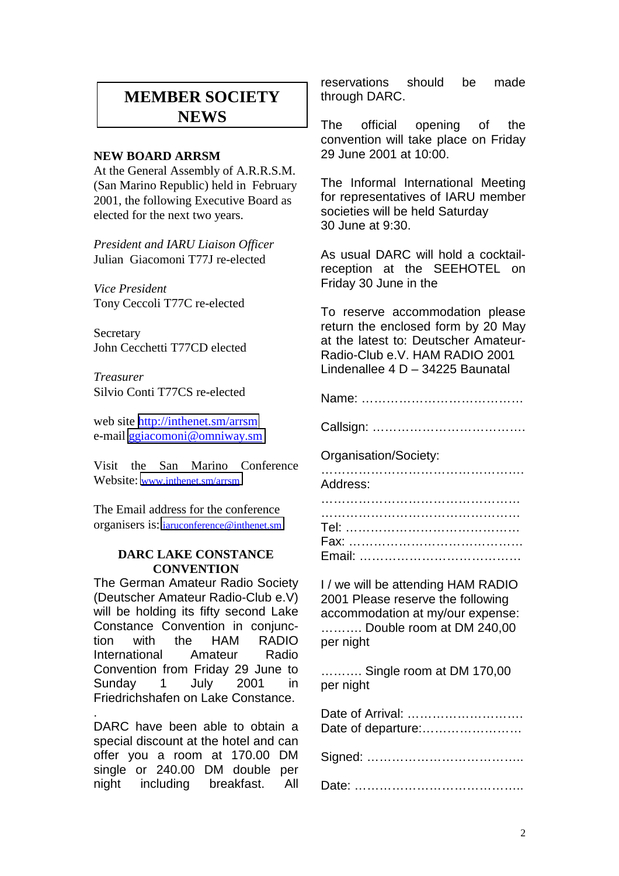# **MEMBER SOCIETY NEWS**

### **NEW BOARD ARRSM**

At the General Assembly of A.R.R.S.M. (San Marino Republic) held in February 2001, the following Executive Board as elected for the next two years.

*President and IARU Liaison Officer* Julian Giacomoni T77J re-elected

*Vice President* Tony Ceccoli T77C re-elected

**Secretary** John Cecchetti T77CD elected

*Treasurer* Silvio Conti T77CS re-elected

web site <http://inthenet.sm/arrsm> e-mail [ggiacomoni@omniway.sm](mailto:ggiacomoni@omniway.sm)

Visit the San Marino Conference Website: [www.inthenet.sm/arrsm](http://www.inthenet.sm/arrsm)

The Email address for the conference organisers is: [iaruconference@inthenet.sm](mailto:iaruconference@inthenet.sm)

### **DARC LAKE CONSTANCE CONVENTION**

The German Amateur Radio Society (Deutscher Amateur Radio-Club e.V) will be holding its fifty second Lake Constance Convention in conjunction with the HAM RADIO International Amateur Radio Convention from Friday 29 June to Sunday 1 July 2001 in Friedrichshafen on Lake Constance.

. DARC have been able to obtain a special discount at the hotel and can offer you a room at 170.00 DM single or 240.00 DM double per night including breakfast. All

reservations should be made through DARC.

The official opening of the convention will take place on Friday 29 June 2001 at 10:00.

The Informal International Meeting for representatives of IARU member societies will be held Saturday 30 June at 9:30.

As usual DARC will hold a cocktailreception at the SEEHOTEL on Friday 30 June in the

To reserve accommodation please return the enclosed form by 20 May at the latest to: Deutscher Amateur-Radio-Club e.V. HAM RADIO 2001 Lindenallee 4 D – 34225 Baunatal

Name: …………………………………

Callsign: ……………………………….

Organisation/Society:

…………………………………………………… Address:

I / we will be attending HAM RADIO 2001 Please reserve the following accommodation at my/our expense: ………. Double room at DM 240,00 per night

………. Single room at DM 170,00 per night

| Date of Arrival:<br>Date of departure: |
|----------------------------------------|
|                                        |
|                                        |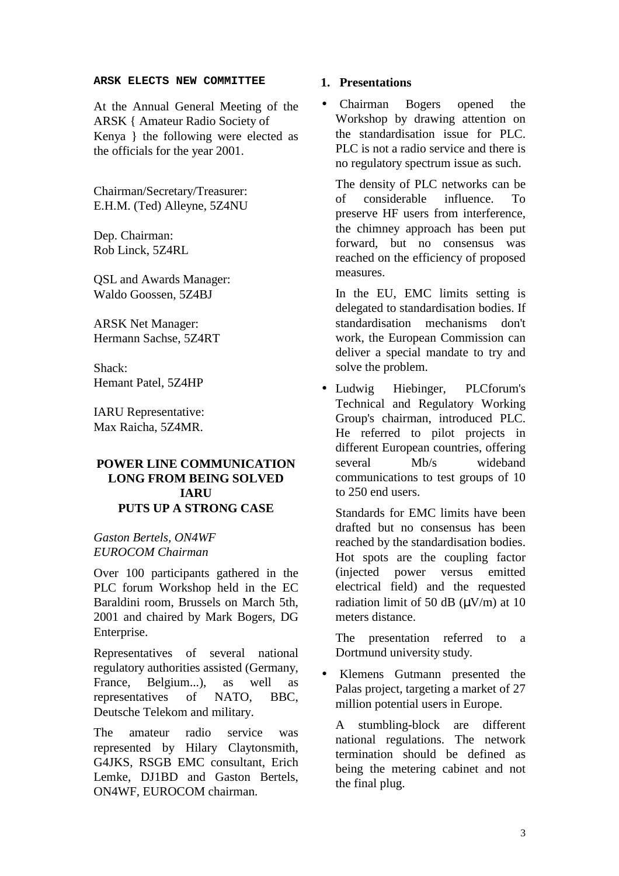#### **ARSK ELECTS NEW COMMITTEE**

At the Annual General Meeting of the ARSK { Amateur Radio Society of Kenya } the following were elected as the officials for the year 2001.

Chairman/Secretary/Treasurer: E.H.M. (Ted) Alleyne, 5Z4NU

Dep. Chairman: Rob Linck, 5Z4RL

QSL and Awards Manager: Waldo Goossen, 5Z4BJ

ARSK Net Manager: Hermann Sachse, 5Z4RT

Shack: Hemant Patel, 5Z4HP

IARU Representative: Max Raicha, 5Z4MR.

# **POWER LINE COMMUNICATION LONG FROM BEING SOLVED IARU PUTS UP A STRONG CASE**

*Gaston Bertels, ON4WF EUROCOM Chairman*

Over 100 participants gathered in the PLC forum Workshop held in the EC Baraldini room, Brussels on March 5th, 2001 and chaired by Mark Bogers, DG Enterprise.

Representatives of several national regulatory authorities assisted (Germany, France, Belgium...), as well as representatives of NATO, BBC, Deutsche Telekom and military.

The amateur radio service was represented by Hilary Claytonsmith, G4JKS, RSGB EMC consultant, Erich Lemke, DJ1BD and Gaston Bertels, ON4WF, EUROCOM chairman.

## **1. Presentations**

• Chairman Bogers opened the Workshop by drawing attention on the standardisation issue for PLC. PLC is not a radio service and there is no regulatory spectrum issue as such.

The density of PLC networks can be of considerable influence. To preserve HF users from interference, the chimney approach has been put forward, but no consensus was reached on the efficiency of proposed measures.

In the EU, EMC limits setting is delegated to standardisation bodies. If standardisation mechanisms don't work, the European Commission can deliver a special mandate to try and solve the problem.

• Ludwig Hiebinger, PLCforum's Technical and Regulatory Working Group's chairman, introduced PLC. He referred to pilot projects in different European countries, offering several Mb/s wideband communications to test groups of 10 to 250 end users.

Standards for EMC limits have been drafted but no consensus has been reached by the standardisation bodies. Hot spots are the coupling factor (injected power versus emitted electrical field) and the requested radiation limit of 50 dB  $(\mu V/m)$  at 10 meters distance.

The presentation referred to a Dortmund university study.

• Klemens Gutmann presented the Palas project, targeting a market of 27 million potential users in Europe.

A stumbling-block are different national regulations. The network termination should be defined as being the metering cabinet and not the final plug.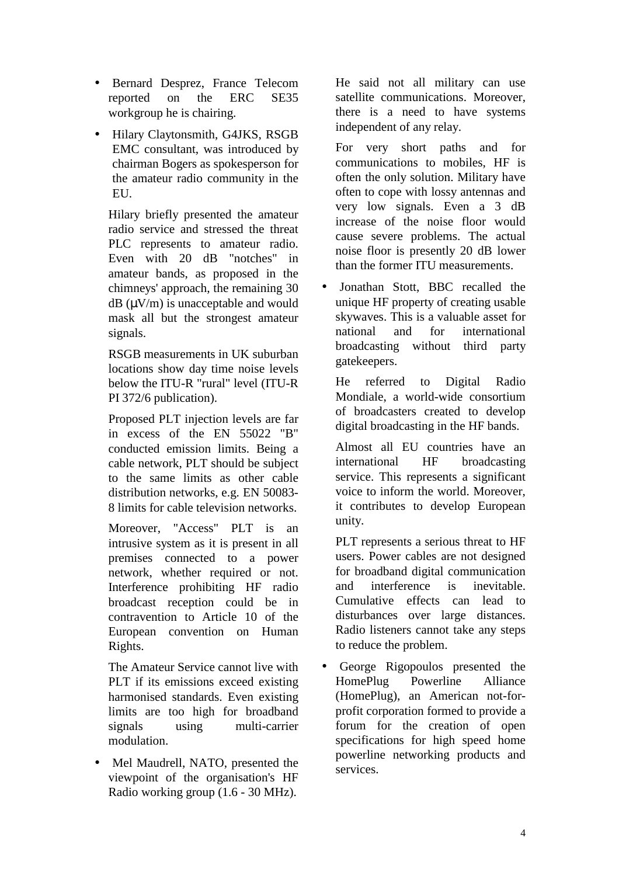- Bernard Desprez, France Telecom reported on the ERC SE35 workgroup he is chairing.
- Hilary Claytonsmith, G4JKS, RSGB EMC consultant, was introduced by chairman Bogers as spokesperson for the amateur radio community in the EU.

Hilary briefly presented the amateur radio service and stressed the threat PLC represents to amateur radio. Even with 20 dB "notches" in amateur bands, as proposed in the chimneys' approach, the remaining 30  $dB (uV/m)$  is unacceptable and would mask all but the strongest amateur signals.

RSGB measurements in UK suburban locations show day time noise levels below the ITU-R "rural" level (ITU-R PI 372/6 publication).

Proposed PLT injection levels are far in excess of the EN 55022 "B" conducted emission limits. Being a cable network, PLT should be subject to the same limits as other cable distribution networks, e.g. EN 50083- 8 limits for cable television networks.

Moreover, "Access" PLT is an intrusive system as it is present in all premises connected to a power network, whether required or not. Interference prohibiting HF radio broadcast reception could be in contravention to Article 10 of the European convention on Human Rights.

The Amateur Service cannot live with PLT if its emissions exceed existing harmonised standards. Even existing limits are too high for broadband signals using multi-carrier modulation.

• Mel Maudrell, NATO, presented the viewpoint of the organisation's HF Radio working group (1.6 - 30 MHz).

He said not all military can use satellite communications. Moreover, there is a need to have systems independent of any relay.

For very short paths and for communications to mobiles, HF is often the only solution. Military have often to cope with lossy antennas and very low signals. Even a 3 dB increase of the noise floor would cause severe problems. The actual noise floor is presently 20 dB lower than the former ITU measurements.

• Jonathan Stott, BBC recalled the unique HF property of creating usable skywaves. This is a valuable asset for national and for international broadcasting without third party gatekeepers.

He referred to Digital Radio Mondiale, a world-wide consortium of broadcasters created to develop digital broadcasting in the HF bands.

Almost all EU countries have an international HF broadcasting service. This represents a significant voice to inform the world. Moreover, it contributes to develop European unity.

PLT represents a serious threat to HF users. Power cables are not designed for broadband digital communication and interference is inevitable. Cumulative effects can lead to disturbances over large distances. Radio listeners cannot take any steps to reduce the problem.

• George Rigopoulos presented the HomePlug Powerline Alliance (HomePlug), an American not-forprofit corporation formed to provide a forum for the creation of open specifications for high speed home powerline networking products and services.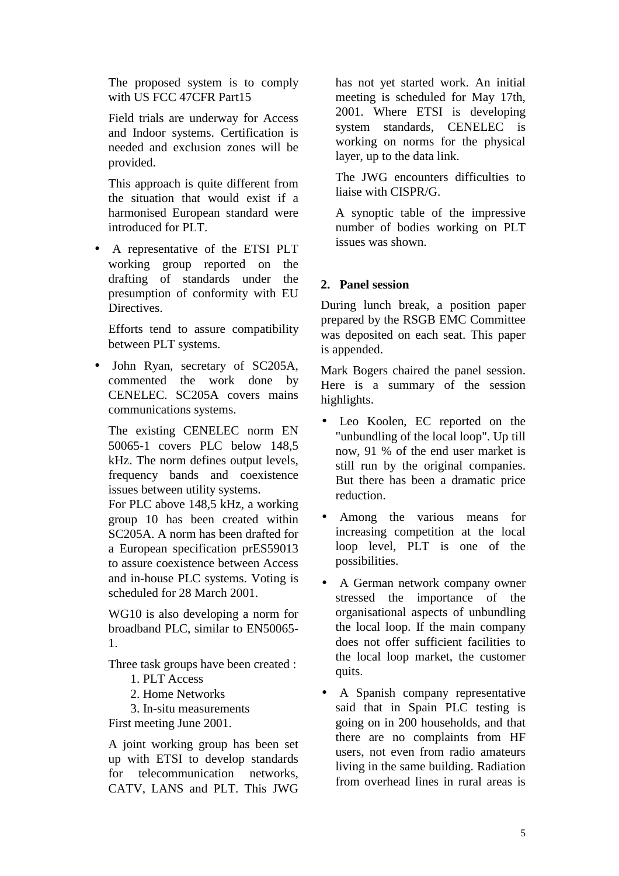The proposed system is to comply with US FCC 47CFR Part15

Field trials are underway for Access and Indoor systems. Certification is needed and exclusion zones will be provided.

This approach is quite different from the situation that would exist if a harmonised European standard were introduced for PLT.

• A representative of the ETSI PLT working group reported on the drafting of standards under the presumption of conformity with EU Directives.

Efforts tend to assure compatibility between PLT systems.

• John Ryan, secretary of SC205A, commented the work done by CENELEC. SC205A covers mains communications systems.

The existing CENELEC norm EN 50065-1 covers PLC below 148,5 kHz. The norm defines output levels, frequency bands and coexistence issues between utility systems.

For PLC above 148,5 kHz, a working group 10 has been created within SC205A. A norm has been drafted for a European specification prES59013 to assure coexistence between Access and in-house PLC systems. Voting is scheduled for 28 March 2001.

WG10 is also developing a norm for broadband PLC, similar to EN50065- 1.

Three task groups have been created :

- 1. PLT Access
- 2. Home Networks

3. In-situ measurements First meeting June 2001.

A joint working group has been set up with ETSI to develop standards for telecommunication networks, CATV, LANS and PLT. This JWG

has not yet started work. An initial meeting is scheduled for May 17th, 2001. Where ETSI is developing system standards, CENELEC is working on norms for the physical layer, up to the data link.

The JWG encounters difficulties to liaise with CISPR/G.

A synoptic table of the impressive number of bodies working on PLT issues was shown.

# **2. Panel session**

During lunch break, a position paper prepared by the RSGB EMC Committee was deposited on each seat. This paper is appended.

Mark Bogers chaired the panel session. Here is a summary of the session highlights.

- Leo Koolen, EC reported on the "unbundling of the local loop". Up till now, 91 % of the end user market is still run by the original companies. But there has been a dramatic price reduction.
- Among the various means for increasing competition at the local loop level, PLT is one of the possibilities.
- A German network company owner stressed the importance of the organisational aspects of unbundling the local loop. If the main company does not offer sufficient facilities to the local loop market, the customer quits.
- A Spanish company representative said that in Spain PLC testing is going on in 200 households, and that there are no complaints from HF users, not even from radio amateurs living in the same building. Radiation from overhead lines in rural areas is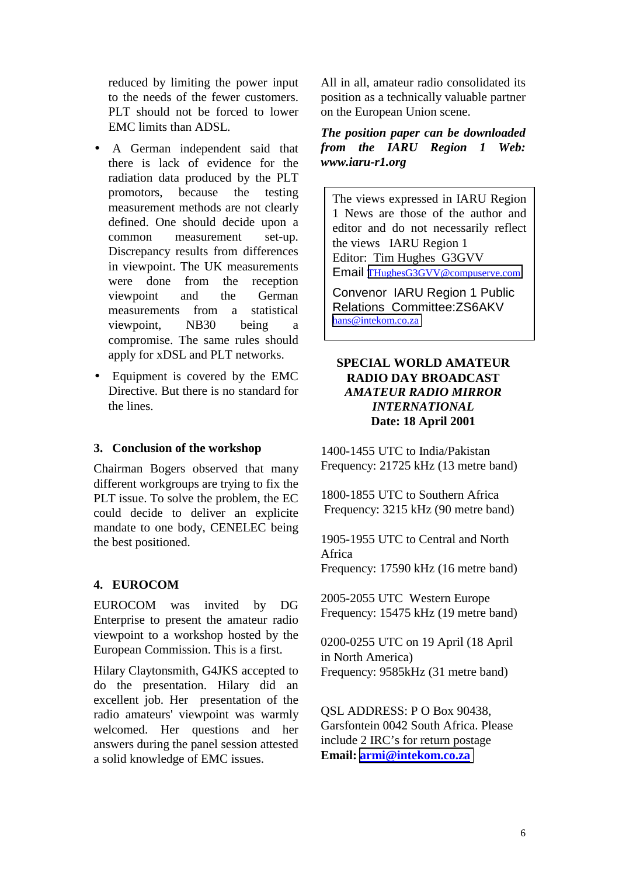reduced by limiting the power input to the needs of the fewer customers. PLT should not be forced to lower EMC limits than ADSL.

- A German independent said that there is lack of evidence for the radiation data produced by the PLT promotors, because the testing measurement methods are not clearly defined. One should decide upon a common measurement set-up. Discrepancy results from differences in viewpoint. The UK measurements were done from the reception viewpoint and the German measurements from a statistical viewpoint, NB30 being a compromise. The same rules should apply for xDSL and PLT networks.
- Equipment is covered by the EMC Directive. But there is no standard for the lines.

### **3. Conclusion of the workshop**

Chairman Bogers observed that many different workgroups are trying to fix the PLT issue. To solve the problem, the EC could decide to deliver an explicite mandate to one body, CENELEC being the best positioned.

# **4. EUROCOM**

EUROCOM was invited by DG Enterprise to present the amateur radio viewpoint to a workshop hosted by the European Commission. This is a first.

Hilary Claytonsmith, G4JKS accepted to do the presentation. Hilary did an excellent job. Her presentation of the radio amateurs' viewpoint was warmly welcomed. Her questions and her answers during the panel session attested a solid knowledge of EMC issues.

All in all, amateur radio consolidated its position as a technically valuable partner on the European Union scene.

*The position paper can be downloaded from the IARU Region 1 Web: www.iaru-r1.org*

The views expressed in IARU Region 1 News are those of the author and editor and do not necessarily reflect the views IARU Region 1 Editor: Tim Hughes G3GVV Email [THughesG3GVV@compuserve.com](mailto:THughesG3GVV@compuserve.com)

Convenor IARU Region 1 Public Relations Committee:ZS6AKV [hans@intekom.co.za](mailto:hans@intekom.co.za)

# **SPECIAL WORLD AMATEUR RADIO DAY BROADCAST** *AMATEUR RADIO MIRROR INTERNATIONAL* **Date: 18 April 2001**

1400-1455 UTC to India/Pakistan Frequency: 21725 kHz (13 metre band)

1800-1855 UTC to Southern Africa Frequency: 3215 kHz (90 metre band)

1905-1955 UTC to Central and North Africa Frequency: 17590 kHz (16 metre band)

2005-2055 UTC Western Europe Frequency: 15475 kHz (19 metre band)

0200-0255 UTC on 19 April (18 April in North America) Frequency: 9585kHz (31 metre band)

QSL ADDRESS: P O Box 90438, Garsfontein 0042 South Africa. Please include 2 IRC's for return postage **Email: [armi@intekom.co.za](mailto:armi@intekom.co.za)**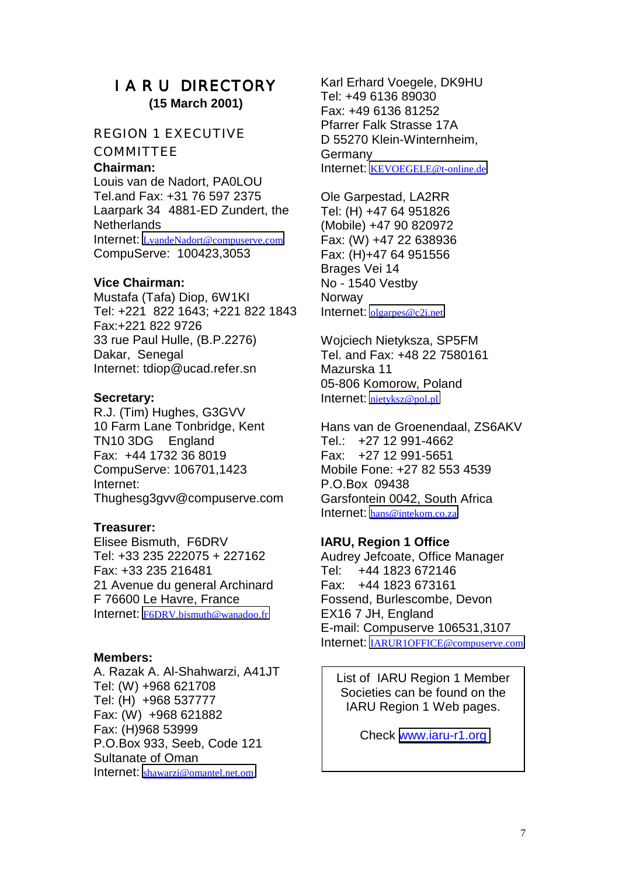# I A R U DIRECTORY **(15 March 2001)**

## REGION 1 EXECUTIVE

**COMMITTEE** 

### **Chairman:**

Louis van de Nadort, PA0LOU Tel.and Fax: +31 76 597 2375 Laarpark 34 4881-ED Zundert, the **Netherlands** Internet: [LvandeNadort@compuserve.com](mailto:LvandeNadort@compuserve.com) CompuServe: 100423,3053

### **Vice Chairman:**

Mustafa (Tafa) Diop, 6W1KI Tel: +221 822 1643; +221 822 1843 Fax:+221 822 9726 33 rue Paul Hulle, (B.P.2276) Dakar, Senegal Internet: tdiop@ucad.refer.sn

### **Secretary:**

R.J. (Tim) Hughes, G3GVV 10 Farm Lane Tonbridge, Kent TN10 3DG England Fax: +44 1732 36 8019 CompuServe: 106701,1423 Internet: Thughesg3gvv@compuserve.com

### **Treasurer:**

Elisee Bismuth, F6DRV Tel: +33 235 222075 + 227162 Fax: +33 235 216481 21 Avenue du general Archinard F 76600 Le Havre, France Internet: [F6DRV.bismuth@wanadoo.fr](mailto:F6DRV.bismuth@wanadoo.fr)

### **Members:**

A. Razak A. Al-Shahwarzi, A41JT Tel: (W) +968 621708 Tel: (H) +968 537777 Fax: (W) +968 621882 Fax: (H)968 53999 P.O.Box 933, Seeb, Code 121 Sultanate of Oman Internet: [shawarzi@omantel.net.om](mailto:shawarzi@omantel.net.om)

Karl Erhard Voegele, DK9HU Tel: +49 6136 89030 Fax: +49 6136 81252 Pfarrer Falk Strasse 17A D 55270 Klein-Winternheim, **Germany** Internet: [KEVOEGELE@t-online.de](mailto:KEVOEGELE@t-online.de)

Ole Garpestad, LA2RR Tel: (H) +47 64 951826 (Mobile) +47 90 820972 Fax: (W) +47 22 638936 Fax: (H)+47 64 951556 Brages Vei 14 No - 1540 Vestby **Norway** Internet: [olgarpes@c2i.net](mailto:olgarpes@c2i.net)

Wojciech Nietyksza, SP5FM Tel. and Fax: +48 22 7580161 Mazurska 11 05-806 Komorow, Poland Internet: [nietyksz@pol.pl](mailto:nietyksz@pol.pl)

Hans van de Groenendaal, ZS6AKV Tel.: +27 12 991-4662 Fax: +27 12 991-5651 Mobile Fone: +27 82 553 4539 P.O.Box 09438 Garsfontein 0042, South Africa Internet: [hans@intekom.co.za](mailto:hans@intekom.co.za)

# **IARU, Region 1 Office**

Audrey Jefcoate, Office Manager Tel: +44 1823 672146 Fax: +44 1823 673161 Fossend, Burlescombe, Devon EX16 7 JH, England E-mail: Compuserve 106531,3107 Internet: [IARUR1OFFICE@compuserve.com](mailto:IARUR1OFFICE@compuserve.com)

List of IARU Region 1 Member Societies can be found on the IARU Region 1 Web pages.

Check [www.iaru-r1.org](http://www.iaru-r1.org/)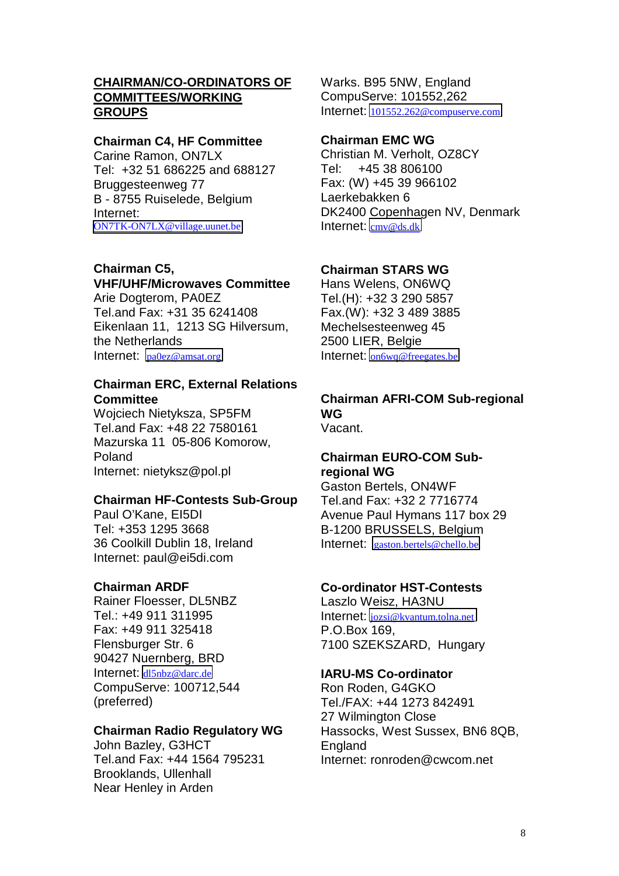# **CHAIRMAN/CO-ORDINATORS OF COMMITTEES/WORKING GROUPS**

## **Chairman C4, HF Committee**

Carine Ramon, ON7LX Tel: +32 51 686225 and 688127 Bruggesteenweg 77 B - 8755 Ruiselede, Belgium Internet: [ON7TK-ON7LX@village.uunet.be](mailto:ON7TK-ON7LX@village.uunet.be)

# **Chairman C5,**

# **VHF/UHF/Microwaves Committee**

Arie Dogterom, PA0EZ Tel.and Fax: +31 35 6241408 Eikenlaan 11, 1213 SG Hilversum, the Netherlands Internet: [pa0ez@amsat.org](mailto:pa0ez@amsat.org)

# **Chairman ERC, External Relations Committee**

Wojciech Nietyksza, SP5FM Tel.and Fax: +48 22 7580161 Mazurska 11 05-806 Komorow, Poland Internet: nietyksz@pol.pl

# **Chairman HF-Contests Sub-Group**

Paul O'Kane, EI5DI Tel: +353 1295 3668 36 Coolkill Dublin 18, Ireland Internet: paul@ei5di.com

# **Chairman ARDF**

Rainer Floesser, DL5NBZ Tel.: +49 911 311995 Fax: +49 911 325418 Flensburger Str. 6 90427 Nuernberg, BRD Internet: [dl5nbz@darc.de](mailto:dl5nbz@darc.de) CompuServe: 100712,544 (preferred)

# **Chairman Radio Regulatory WG**

John Bazley, G3HCT Tel.and Fax: +44 1564 795231 Brooklands, Ullenhall Near Henley in Arden

Warks. B95 5NW, England CompuServe: 101552,262 Internet: [101552.262@compuserve.com](mailto:101552.262@compuserve.com)

# **Chairman EMC WG**

Christian M. Verholt, OZ8CY Tel: +45 38 806100 Fax: (W) +45 39 966102 Laerkebakken 6 DK2400 Copenhagen NV, Denmark Internet: [cmv@ds.dk](mailto:cmv@ds.dk)

# **Chairman STARS WG**

Hans Welens, ON6WQ Tel.(H): +32 3 290 5857 Fax.(W): +32 3 489 3885 Mechelsesteenweg 45 2500 LIER, Belgie Internet: [on6wq@freegates.be](mailto:on6wq@freegates.be)

# **Chairman AFRI-COM Sub-regional WG**

Vacant.

## **Chairman EURO-COM Subregional WG**

Gaston Bertels, ON4WF Tel.and Fax: +32 2 7716774 Avenue Paul Hymans 117 box 29 B-1200 BRUSSELS, Belgium Internet: [gaston.bertels@chello.be](mailto:gaston.bertels@chello.be)

# **Co-ordinator HST-Contests**

Laszlo Weisz, HA3NU Internet: [jozsi@kvantum.tolna.net](mailto:jozsi@kvantum.tolna.net) P.O.Box 169, 7100 SZEKSZARD, Hungary

# **IARU-MS Co-ordinator**

Ron Roden, G4GKO Tel./FAX: +44 1273 842491 27 Wilmington Close Hassocks, West Sussex, BN6 8QB, **England** Internet: ronroden@cwcom.net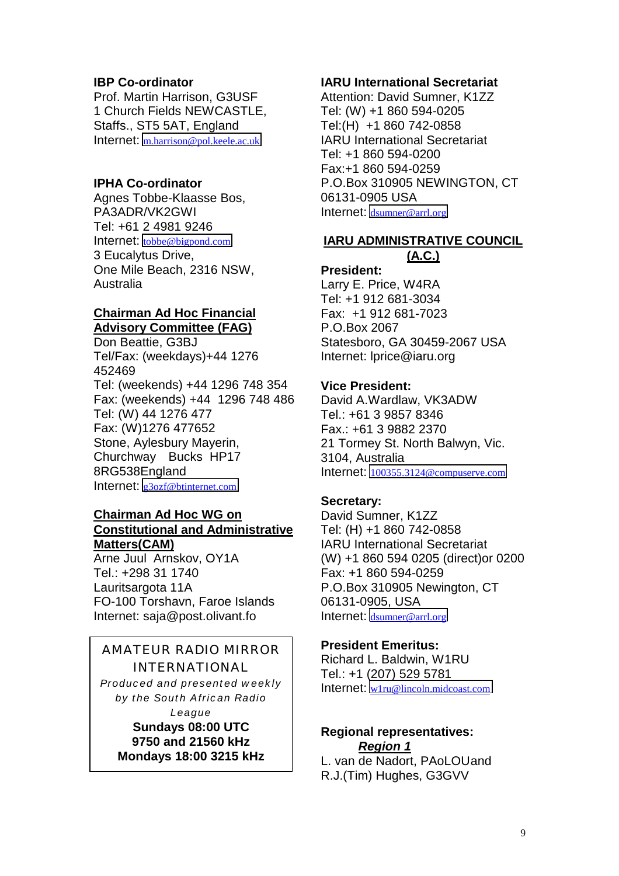# **IBP Co-ordinator**

Prof. Martin Harrison, G3USF 1 Church Fields NEWCASTLE, Staffs., ST5 5AT, England Internet: [m.harrison@pol.keele.ac.uk](mailto:m.harrison@pol.keele.ac.uk)

# **IPHA Co-ordinator**

Agnes Tobbe-Klaasse Bos, PA3ADR/VK2GWI Tel: +61 2 4981 9246 Internet: [tobbe@bigpond.com](mailto:tobbe@bigpond.com) 3 Eucalytus Drive, One Mile Beach, 2316 NSW, Australia

# **Chairman Ad Hoc Financial Advisory Committee (FAG)**

Don Beattie, G3BJ Tel/Fax: (weekdays)+44 1276 452469 Tel: (weekends) +44 1296 748 354 Fax: (weekends) +44 1296 748 486 Tel: (W) 44 1276 477 Fax: (W)1276 477652 Stone, Aylesbury Mayerin, Churchway Bucks HP17 8RG538England Internet: [g3ozf@btinternet.com](mailto:g3ozf@btinternet.com)

# **Chairman Ad Hoc WG on Constitutional and Administrative Matters(CAM)**

Arne Juul Arnskov, OY1A Tel.: +298 31 1740 Lauritsargota 11A FO-100 Torshavn, Faroe Islands Internet: saja@post.olivant.fo

# AMATEUR RADIO MIRROR

INTERNATIONAL *Produced and presented weekly by the South African Radio*

*League* **Sundays 08:00 UTC 9750 and 21560 kHz**

# **Mondays 18:00 3215 kHz**

# **IARU International Secretariat**

Attention: David Sumner, K1ZZ Tel: (W) +1 860 594-0205 Tel:(H) +1 860 742-0858 IARU International Secretariat Tel: +1 860 594-0200 Fax:+1 860 594-0259 P.O.Box 310905 NEWINGTON, CT 06131-0905 USA Internet: [dsumner@arrl.org](mailto:dsumner@arrl.org)

# **IARU ADMINISTRATIVE COUNCIL (A.C.)**

**President:** Larry E. Price, W4RA Tel: +1 912 681-3034 Fax: +1 912 681-7023 P.O.Box 2067 Statesboro, GA 30459-2067 USA Internet: lprice@iaru.org

# **Vice President:**

David A.Wardlaw, VK3ADW Tel.: +61 3 9857 8346 Fax.: +61 3 9882 2370 21 Tormey St. North Balwyn, Vic. 3104, Australia Internet: [100355.3124@compuserve.com](mailto:100355.3124@compuserve.com)

# **Secretary:**

David Sumner, K1ZZ Tel: (H) +1 860 742-0858 IARU International Secretariat (W) +1 860 594 0205 (direct)or 0200 Fax: +1 860 594-0259 P.O.Box 310905 Newington, CT 06131-0905, USA Internet: [dsumner@arrl.org](mailto:dsumner@arrl.org)

# **President Emeritus:**

Richard L. Baldwin, W1RU Tel.: +1 (207) 529 5781 Internet: [w1ru@lincoln.midcoast.com](mailto:w1ru@lincoln.midcoast.com)

### **Regional representatives:** *Region 1*

L. van de Nadort, PAoLOUand R.J.(Tim) Hughes, G3GVV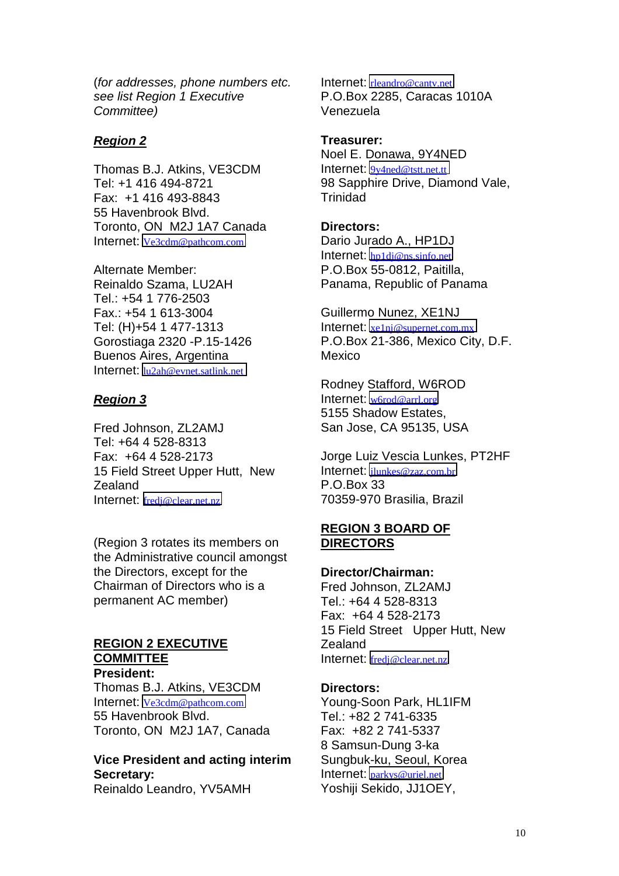(*for addresses, phone numbers etc. see list Region 1 Executive Committee)*

### *Region 2*

Thomas B.J. Atkins, VE3CDM Tel: +1 416 494-8721 Fax: +1 416 493-8843 55 Havenbrook Blvd. Toronto, ON M2J 1A7 Canada Internet: [Ve3cdm@pathcom.com](mailto:Ve3cdm@pathcom.com)

Alternate Member: Reinaldo Szama, LU2AH Tel.: +54 1 776-2503 Fax.: +54 1 613-3004 Tel: (H)+54 1 477-1313 Gorostiaga 2320 -P.15-1426 Buenos Aires, Argentina Internet: [lu2ah@evnet.satlink.net](mailto:lu2ah@evnet.satlink.net)

## *Region 3*

Fred Johnson, ZL2AMJ Tel: +64 4 528-8313 Fax: +64 4 528-2173 15 Field Street Upper Hutt, New Zealand Internet: [fredj@clear.net.nz](mailto:fredj@clear.net.nz)

(Region 3 rotates its members on the Administrative council amongst the Directors, except for the Chairman of Directors who is a permanent AC member)

# **REGION 2 EXECUTIVE COMMITTEE**

**President:** Thomas B.J. Atkins, VE3CDM Internet: [Ve3cdm@pathcom.com](mailto:Ve3cdm@pathcom.com) 55 Havenbrook Blvd. Toronto, ON M2J 1A7, Canada

### **Vice President and acting interim Secretary:** Reinaldo Leandro, YV5AMH

Internet: [rleandro@cantv.net](mailto:rleandro@cantv.net) P.O.Box 2285, Caracas 1010A Venezuela

**Treasurer:** Noel E. Donawa, 9Y4NED Internet: [9y4ned@tstt.net.tt](mailto:9y4ned@tstt.net.tt) 98 Sapphire Drive, Diamond Vale, **Trinidad** 

**Directors:** Dario Jurado A., HP1DJ Internet: [hp1dj@ns.sinfo.net](mailto:hp1dj@ns.sinfo.net) P.O.Box 55-0812, Paitilla, Panama, Republic of Panama

Guillermo Nunez, XE1NJ Internet: [xe1nj@supernet.com.mx](mailto:xe1nj@supernet.com.mx) P.O.Box 21-386, Mexico City, D.F. Mexico

Rodney Stafford, W6ROD Internet: [w6rod@arrl.org](mailto:w6rod@arrl.org) 5155 Shadow Estates, San Jose, CA 95135, USA

Jorge Luiz Vescia Lunkes, PT2HF Internet: [jlunkes@zaz.com.br](mailto:jlunkes@zaz.com.br) P.O.Box 33 70359-970 Brasilia, Brazil

# **REGION 3 BOARD OF DIRECTORS**

#### **Director/Chairman:**

Fred Johnson, ZL2AMJ Tel.: +64 4 528-8313 Fax: +64 4 528-2173 15 Field Street Upper Hutt, New Zealand Internet: [fredj@clear.net.nz](mailto:fredj@clear.net.nz)

#### **Directors:**

Young-Soon Park, HL1IFM Tel.: +82 2 741-6335 Fax: +82 2 741-5337 8 Samsun-Dung 3-ka Sungbuk-ku, Seoul, Korea Internet: [parkys@uriel.net](mailto:parkys@uriel.net) Yoshiji Sekido, JJ1OEY,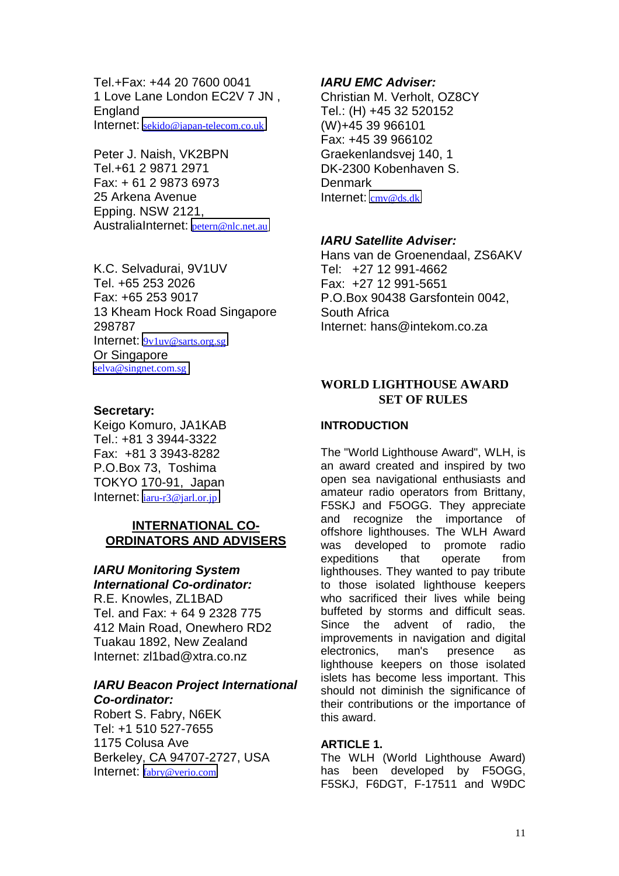Tel.+Fax: +44 20 7600 0041 1 Love Lane London EC2V 7 JN , **England** Internet: [sekido@japan-telecom.co.uk](mailto:sekido@japan-telecom.co.uk)

Peter J. Naish, VK2BPN Tel.+61 2 9871 2971 Fax: + 61 2 9873 6973 25 Arkena Avenue Epping. NSW 2121, AustraliaInternet: [petern@nlc.net.au](mailto:petern@nlc.net.au)

K.C. Selvadurai, 9V1UV Tel. +65 253 2026 Fax: +65 253 9017 13 Kheam Hock Road Singapore 298787 Internet: [9v1uv@sarts.org.sg](mailto:9v1uv@sarts.org.sg) Or Singapore [selva@singnet.com.sg](mailto:selva@singnet.com.sg)

### **Secretary:**

Keigo Komuro, JA1KAB Tel.: +81 3 3944-3322 Fax: +81 3 3943-8282 P.O.Box 73, Toshima TOKYO 170-91, Japan Internet: [iaru-r3@jarl.or.jp](mailto:iaru-r3@jarl.or.jp)

### **INTERNATIONAL CO-ORDINATORS AND ADVISERS**

# *IARU Monitoring System*

*International Co-ordinator:* R.E. Knowles, ZL1BAD Tel. and Fax: + 64 9 2328 775 412 Main Road, Onewhero RD2 Tuakau 1892, New Zealand Internet: zl1bad@xtra.co.nz

# *IARU Beacon Project International Co-ordinator:*

Robert S. Fabry, N6EK Tel: +1 510 527-7655 1175 Colusa Ave Berkeley, CA 94707-2727, USA Internet: [fabry@verio.com](mailto:fabry@verio.com)

## *IARU EMC Adviser:*

Christian M. Verholt, OZ8CY Tel.: (H) +45 32 520152 (W)+45 39 966101 Fax: +45 39 966102 Graekenlandsvej 140, 1 DK-2300 Kobenhaven S. **Denmark** Internet: [cmv@ds.dk](mailto:cmv@ds.dk)

## *IARU Satellite Adviser:*

Hans van de Groenendaal, ZS6AKV Tel: +27 12 991-4662 Fax: +27 12 991-5651 P.O.Box 90438 Garsfontein 0042, South Africa Internet: hans@intekom.co.za

## **WORLD LIGHTHOUSE AWARD SET OF RULES**

## **INTRODUCTION**

The "World Lighthouse Award", WLH, is an award created and inspired by two open sea navigational enthusiasts and amateur radio operators from Brittany, F5SKJ and F5OGG. They appreciate and recognize the importance of offshore lighthouses. The WLH Award was developed to promote radio expeditions that operate from lighthouses. They wanted to pay tribute to those isolated lighthouse keepers who sacrificed their lives while being buffeted by storms and difficult seas. Since the advent of radio, the improvements in navigation and digital electronics, man's presence as lighthouse keepers on those isolated islets has become less important. This should not diminish the significance of their contributions or the importance of this award.

### **ARTICLE 1.**

The WLH (World Lighthouse Award) has been developed by F5OGG. F5SKJ, F6DGT, F-17511 and W9DC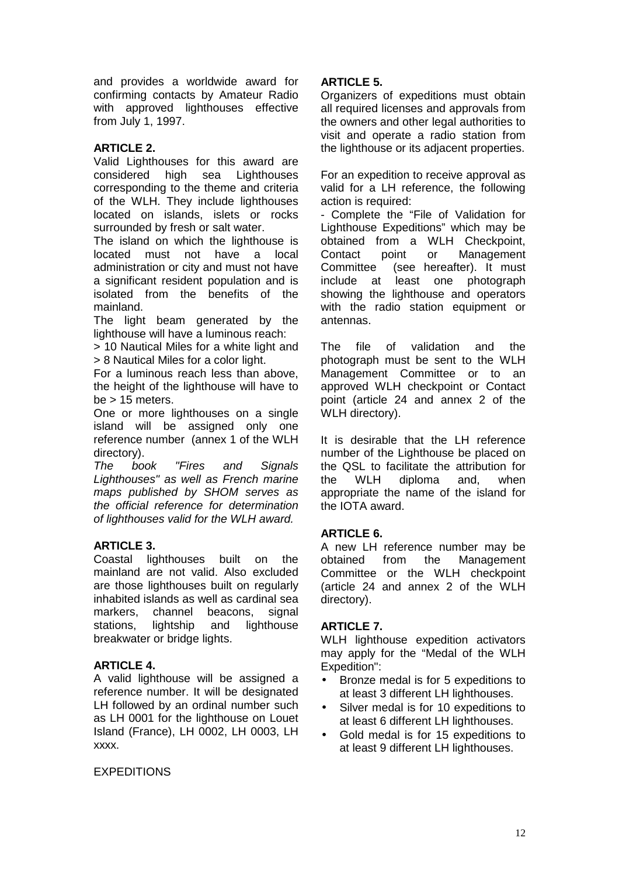and provides a worldwide award for confirming contacts by Amateur Radio with approved lighthouses effective from July 1, 1997.

# **ARTICLE 2.**

Valid Lighthouses for this award are considered high sea Lighthouses corresponding to the theme and criteria of the WLH. They include lighthouses located on islands, islets or rocks surrounded by fresh or salt water.

The island on which the lighthouse is located must not have a local administration or city and must not have a significant resident population and is isolated from the benefits of the mainland.

The light beam generated by the lighthouse will have a luminous reach:

> 10 Nautical Miles for a white light and > 8 Nautical Miles for a color light.

For a luminous reach less than above, the height of the lighthouse will have to  $be > 15$  meters.

One or more lighthouses on a single island will be assigned only one reference number (annex 1 of the WLH directory).

*The book "Fires and Signals Lighthouses" as well as French marine maps published by SHOM serves as the official reference for determination of lighthouses valid for the WLH award.*

# **ARTICLE 3.**

Coastal lighthouses built on the mainland are not valid. Also excluded are those lighthouses built on regularly inhabited islands as well as cardinal sea markers, channel beacons, signal stations, lightship and lighthouse breakwater or bridge lights.

# **ARTICLE 4.**

A valid lighthouse will be assigned a reference number. It will be designated LH followed by an ordinal number such as LH 0001 for the lighthouse on Louet Island (France), LH 0002, LH 0003, LH xxxx.

### EXPEDITIONS

# **ARTICLE 5.**

Organizers of expeditions must obtain all required licenses and approvals from the owners and other legal authorities to visit and operate a radio station from the lighthouse or its adjacent properties.

For an expedition to receive approval as valid for a LH reference, the following action is required:

- Complete the "File of Validation for Lighthouse Expeditions" which may be obtained from a WLH Checkpoint, Contact point or Management Committee (see hereafter). It must include at least one photograph showing the lighthouse and operators with the radio station equipment or antennas.

The file of validation and the photograph must be sent to the WLH Management Committee or to an approved WLH checkpoint or Contact point (article 24 and annex 2 of the WLH directory).

It is desirable that the LH reference number of the Lighthouse be placed on the QSL to facilitate the attribution for the WLH diploma and, when appropriate the name of the island for the IOTA award.

# **ARTICLE 6.**

A new LH reference number may be obtained from the Management Committee or the WLH checkpoint (article 24 and annex 2 of the WLH directory).

### **ARTICLE 7.**

WLH lighthouse expedition activators may apply for the "Medal of the WLH Expedition":

- Bronze medal is for 5 expeditions to at least 3 different LH lighthouses.
- Silver medal is for 10 expeditions to at least 6 different LH lighthouses.
- Gold medal is for 15 expeditions to at least 9 different LH lighthouses.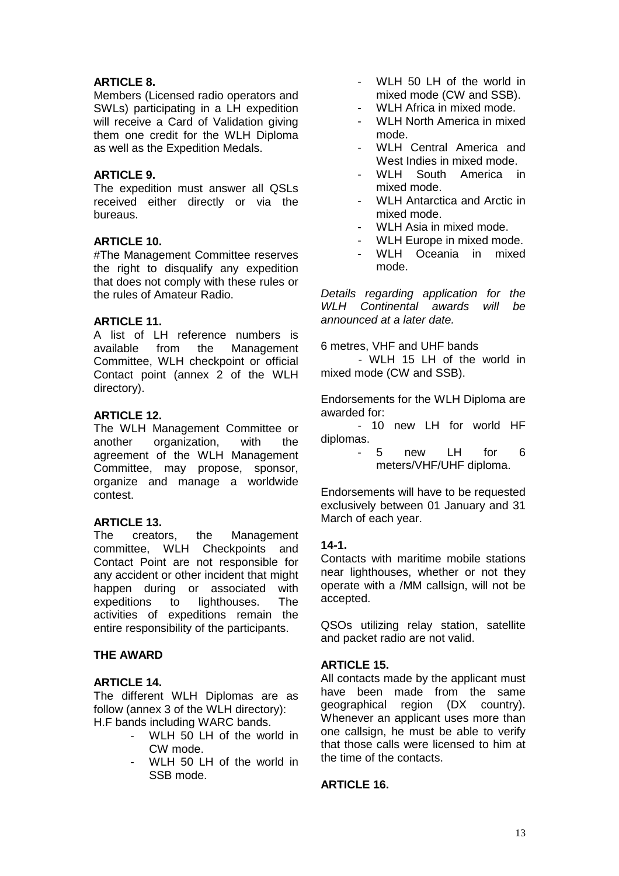## **ARTICLE 8.**

Members (Licensed radio operators and SWLs) participating in a LH expedition will receive a Card of Validation giving them one credit for the WLH Diploma as well as the Expedition Medals.

## **ARTICLE 9.**

The expedition must answer all QSLs received either directly or via the bureaus.

### **ARTICLE 10.**

#The Management Committee reserves the right to disqualify any expedition that does not comply with these rules or the rules of Amateur Radio.

## **ARTICLE 11.**

A list of LH reference numbers is available from the Management Committee, WLH checkpoint or official Contact point (annex 2 of the WLH directory).

### **ARTICLE 12.**

The WLH Management Committee or another organization, with the agreement of the WLH Management Committee, may propose, sponsor, organize and manage a worldwide contest.

### **ARTICLE 13.**

The creators, the Management committee, WLH Checkpoints and Contact Point are not responsible for any accident or other incident that might happen during or associated with expeditions to lighthouses. The activities of expeditions remain the entire responsibility of the participants.

# **THE AWARD**

## **ARTICLE 14.**

The different WLH Diplomas are as follow (annex 3 of the WLH directory): H.F bands including WARC bands.

- WLH 50 LH of the world in CW mode.
- WLH 50 LH of the world in SSB mode.
- WLH 50 LH of the world in mixed mode (CW and SSB).
- WLH Africa in mixed mode.
- WLH North America in mixed mode.
- WLH Central America and West Indies in mixed mode.
- WLH South America in mixed mode.
- WLH Antarctica and Arctic in mixed mode.
- WLH Asia in mixed mode.
- WLH Europe in mixed mode.
- WLH Oceania in mixed mode.

*Details regarding application for the WLH Continental awards will be announced at a later date.*

6 metres, VHF and UHF bands

- WLH 15 LH of the world in mixed mode (CW and SSB).

Endorsements for the WLH Diploma are awarded for:

- 10 new LH for world HF diplomas.

> - 5 new LH for 6 meters/VHF/UHF diploma.

Endorsements will have to be requested exclusively between 01 January and 31 March of each year.

### **14-1.**

Contacts with maritime mobile stations near lighthouses, whether or not they operate with a /MM callsign, will not be accepted.

QSOs utilizing relay station, satellite and packet radio are not valid.

### **ARTICLE 15.**

All contacts made by the applicant must have been made from the same geographical region (DX country). Whenever an applicant uses more than one callsign, he must be able to verify that those calls were licensed to him at the time of the contacts.

### **ARTICLE 16.**